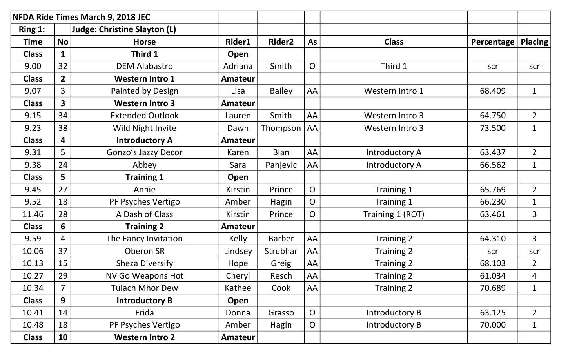|              |                         | <b>NFDA Ride Times March 9, 2018 JEC</b> |                |                    |                |                  |            |                |
|--------------|-------------------------|------------------------------------------|----------------|--------------------|----------------|------------------|------------|----------------|
| Ring 1:      |                         | Judge: Christine Slayton (L)             |                |                    |                |                  |            |                |
| <b>Time</b>  | <b>No</b>               | <b>Horse</b>                             | Rider1         | Rider <sub>2</sub> | As             | <b>Class</b>     | Percentage | <b>Placing</b> |
| <b>Class</b> | 1                       | Third 1                                  | Open           |                    |                |                  |            |                |
| 9.00         | 32                      | <b>DEM Alabastro</b>                     | Adriana        | Smith              | $\overline{O}$ | Third 1          | scr        | scr            |
| <b>Class</b> | $\overline{2}$          | <b>Western Intro 1</b>                   | <b>Amateur</b> |                    |                |                  |            |                |
| 9.07         | 3                       | Painted by Design                        | Lisa           | <b>Bailey</b>      | AA             | Western Intro 1  | 68.409     | $\mathbf{1}$   |
| <b>Class</b> | $\overline{\mathbf{3}}$ | <b>Western Intro 3</b>                   | <b>Amateur</b> |                    |                |                  |            |                |
| 9.15         | 34                      | <b>Extended Outlook</b>                  | Lauren         | Smith              | AA             | Western Intro 3  | 64.750     | $\overline{2}$ |
| 9.23         | 38                      | Wild Night Invite                        | Dawn           | Thompson           | <b>AA</b>      | Western Intro 3  | 73.500     | $\mathbf{1}$   |
| <b>Class</b> | 4                       | <b>Introductory A</b>                    | <b>Amateur</b> |                    |                |                  |            |                |
| 9.31         | 5                       | Gonzo's Jazzy Decor                      | Karen          | <b>Blan</b>        | AA             | Introductory A   | 63.437     | $\overline{2}$ |
| 9.38         | 24                      | Abbey                                    | Sara           | Panjevic           | AA             | Introductory A   | 66.562     | $\mathbf{1}$   |
| <b>Class</b> | 5                       | <b>Training 1</b>                        | Open           |                    |                |                  |            |                |
| 9.45         | 27                      | Annie                                    | Kirstin        | Prince             | $\overline{O}$ | Training 1       | 65.769     | $\overline{2}$ |
| 9.52         | 18                      | PF Psyches Vertigo                       | Amber          | Hagin              | $\overline{O}$ | Training 1       | 66.230     | $\mathbf{1}$   |
| 11.46        | 28                      | A Dash of Class                          | Kirstin        | Prince             | $\overline{O}$ | Training 1 (ROT) | 63.461     | $\overline{3}$ |
| <b>Class</b> | 6                       | <b>Training 2</b>                        | <b>Amateur</b> |                    |                |                  |            |                |
| 9.59         | 4                       | The Fancy Invitation                     | Kelly          | <b>Barber</b>      | AA             | Training 2       | 64.310     | 3              |
| 10.06        | 37                      | Oberon SR                                | Lindsey        | Strubhar           | AA             | Training 2       | scr        | scr            |
| 10.13        | 15                      | Sheza Diversify                          | Hope           | Greig              | AA             | Training 2       | 68.103     | $\overline{2}$ |
| 10.27        | 29                      | <b>NV Go Weapons Hot</b>                 | Cheryl         | Resch              | AA             | Training 2       | 61.034     | 4              |
| 10.34        | 7                       | <b>Tulach Mhor Dew</b>                   | Kathee         | Cook               | AA             | Training 2       | 70.689     | $\mathbf{1}$   |
| <b>Class</b> | 9                       | <b>Introductory B</b>                    | Open           |                    |                |                  |            |                |
| 10.41        | 14                      | Frida                                    | Donna          | Grasso             | $\overline{O}$ | Introductory B   | 63.125     | $\overline{2}$ |
| 10.48        | 18                      | PF Psyches Vertigo                       | Amber          | Hagin              | $\overline{O}$ | Introductory B   | 70.000     | $\mathbf{1}$   |
| <b>Class</b> | 10                      | <b>Western Intro 2</b>                   | <b>Amateur</b> |                    |                |                  |            |                |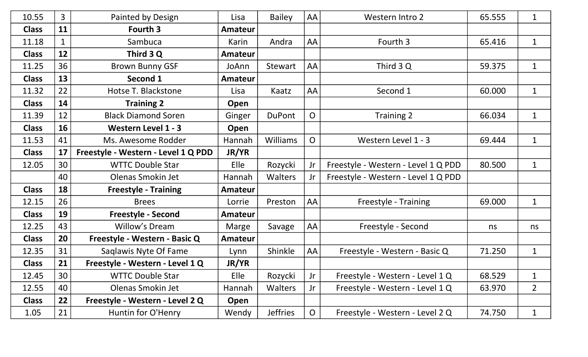| 10.55        | 3           | Painted by Design                   | Lisa           | <b>Bailey</b>   | AA             | Western Intro 2                     | 65.555 | $\mathbf{1}$   |
|--------------|-------------|-------------------------------------|----------------|-----------------|----------------|-------------------------------------|--------|----------------|
| <b>Class</b> | 11          | Fourth 3                            | <b>Amateur</b> |                 |                |                                     |        |                |
| 11.18        | $\mathbf 1$ | Sambuca                             | Karin          | Andra           | AA             | Fourth 3                            | 65.416 | $\mathbf{1}$   |
| <b>Class</b> | 12          | Third 3 Q                           | Amateur        |                 |                |                                     |        |                |
| 11.25        | 36          | <b>Brown Bunny GSF</b>              | JoAnn          | Stewart         | AA             | Third 3 Q                           | 59.375 | $\mathbf{1}$   |
| <b>Class</b> | 13          | Second 1                            | <b>Amateur</b> |                 |                |                                     |        |                |
| 11.32        | 22          | Hotse T. Blackstone                 | Lisa           | Kaatz           | AA             | Second 1                            | 60.000 | $\mathbf{1}$   |
| <b>Class</b> | 14          | <b>Training 2</b>                   | Open           |                 |                |                                     |        |                |
| 11.39        | 12          | <b>Black Diamond Soren</b>          | Ginger         | <b>DuPont</b>   | $\overline{O}$ | Training 2                          | 66.034 | $\mathbf{1}$   |
| <b>Class</b> | 16          | <b>Western Level 1 - 3</b>          | Open           |                 |                |                                     |        |                |
| 11.53        | 41          | Ms. Awesome Rodder                  | Hannah         | <b>Williams</b> | $\overline{O}$ | Western Level 1 - 3                 | 69.444 | $\mathbf{1}$   |
| <b>Class</b> | 17          | Freestyle - Western - Level 1 Q PDD | JR/YR          |                 |                |                                     |        |                |
| 12.05        | 30          | <b>WTTC Double Star</b>             | Elle           | Rozycki         | Jr             | Freestyle - Western - Level 1 Q PDD | 80.500 | $\mathbf{1}$   |
|              | 40          | Olenas Smokin Jet                   | Hannah         | <b>Walters</b>  | Jr             | Freestyle - Western - Level 1 Q PDD |        |                |
| <b>Class</b> | 18          | <b>Freestyle - Training</b>         | Amateur        |                 |                |                                     |        |                |
| 12.15        | 26          | <b>Brees</b>                        | Lorrie         | Preston         | AA             | Freestyle - Training                | 69.000 | $\mathbf{1}$   |
| <b>Class</b> | 19          | <b>Freestyle - Second</b>           | Amateur        |                 |                |                                     |        |                |
| 12.25        | 43          | Willow's Dream                      | Marge          | Savage          | AA             | Freestyle - Second                  | ns     | ns             |
| <b>Class</b> | 20          | Freestyle - Western - Basic Q       | <b>Amateur</b> |                 |                |                                     |        |                |
| 12.35        | 31          | Saglawis Nyte Of Fame               | Lynn           | Shinkle         | AA             | Freestyle - Western - Basic Q       | 71.250 | $\mathbf{1}$   |
| <b>Class</b> | 21          | Freestyle - Western - Level 1 Q     | JR/YR          |                 |                |                                     |        |                |
| 12.45        | 30          | <b>WTTC Double Star</b>             | Elle           | Rozycki         | Jr             | Freestyle - Western - Level 1 Q     | 68.529 | $\mathbf{1}$   |
| 12.55        | 40          | Olenas Smokin Jet                   | Hannah         | <b>Walters</b>  | Jr             | Freestyle - Western - Level 1Q      | 63.970 | $\overline{2}$ |
| <b>Class</b> | 22          | Freestyle - Western - Level 2 Q     | Open           |                 |                |                                     |        |                |
| 1.05         | 21          | Huntin for O'Henry                  | Wendy          | <b>Jeffries</b> | $\mathsf{O}$   | Freestyle - Western - Level 2 Q     | 74.750 | $\mathbf{1}$   |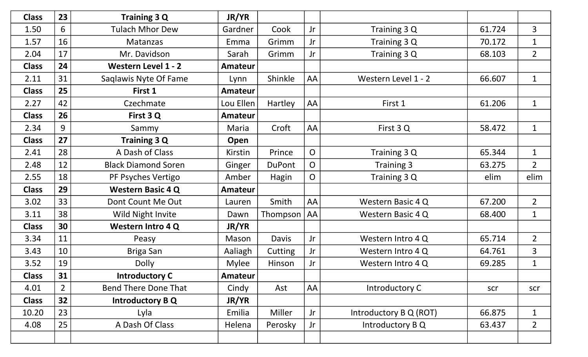| <b>Class</b> | 23          | <b>Training 3 Q</b>         | JR/YR          |               |                |                        |        |                |
|--------------|-------------|-----------------------------|----------------|---------------|----------------|------------------------|--------|----------------|
| 1.50         | 6           | <b>Tulach Mhor Dew</b>      | Gardner        | Cook          | Jr             | Training 3 Q           | 61.724 | $\overline{3}$ |
| 1.57         | 16          | <b>Matanzas</b>             | Emma           | Grimm         | Jr             | Training 3 Q           | 70.172 | $\mathbf{1}$   |
| 2.04         | 17          | Mr. Davidson                | Sarah          | Grimm         | Jr             | Training 3 Q           | 68.103 | $2^{\circ}$    |
| <b>Class</b> | 24          | <b>Western Level 1 - 2</b>  | Amateur        |               |                |                        |        |                |
| 2.11         | 31          | Saqlawis Nyte Of Fame       | Lynn           | Shinkle       | AA             | Western Level 1 - 2    | 66.607 | $\mathbf{1}$   |
| <b>Class</b> | 25          | First 1                     | <b>Amateur</b> |               |                |                        |        |                |
| 2.27         | 42          | Czechmate                   | Lou Ellen      | Hartley       | AA             | First 1                | 61.206 | $\mathbf{1}$   |
| <b>Class</b> | 26          | First 3 Q                   | Amateur        |               |                |                        |        |                |
| 2.34         | 9           | Sammy                       | Maria          | Croft         | AA             | First 3Q               | 58.472 | $\mathbf{1}$   |
| <b>Class</b> | 27          | <b>Training 3 Q</b>         | Open           |               |                |                        |        |                |
| 2.41         | 28          | A Dash of Class             | Kirstin        | Prince        | $\overline{O}$ | Training 3 Q           | 65.344 | $\mathbf{1}$   |
| 2.48         | 12          | <b>Black Diamond Soren</b>  | Ginger         | <b>DuPont</b> | $\overline{O}$ | Training 3             | 63.275 | $\overline{2}$ |
| 2.55         | 18          | PF Psyches Vertigo          | Amber          | Hagin         | $\overline{O}$ | Training 3 Q           | elim   | elim           |
| <b>Class</b> | 29          | <b>Western Basic 4 Q</b>    | <b>Amateur</b> |               |                |                        |        |                |
| 3.02         | 33          | Dont Count Me Out           | Lauren         | Smith         | AA             | Western Basic 4 Q      | 67.200 | $\overline{2}$ |
| 3.11         | 38          | Wild Night Invite           | Dawn           | Thompson      | <b>AA</b>      | Western Basic 4 Q      | 68.400 | $\mathbf{1}$   |
| <b>Class</b> | 30          | <b>Western Intro 4 Q</b>    | JR/YR          |               |                |                        |        |                |
| 3.34         | 11          | Peasy                       | Mason          | Davis         | Jr             | Western Intro 4 Q      | 65.714 | $\overline{2}$ |
| 3.43         | 10          | <b>Briga San</b>            | Aaliagh        | Cutting       | Jr             | Western Intro 4 Q      | 64.761 | $\overline{3}$ |
| 3.52         | 19          | <b>Dolly</b>                | <b>Mylee</b>   | Hinson        | Jr             | Western Intro 4 Q      | 69.285 | $\mathbf{1}$   |
| <b>Class</b> | 31          | <b>Introductory C</b>       | Amateur        |               |                |                        |        |                |
| 4.01         | $2^{\circ}$ | <b>Bend There Done That</b> | Cindy          | Ast           | <b>AA</b>      | Introductory C         | scr    | scr            |
| <b>Class</b> | 32          | <b>Introductory BQ</b>      | JR/YR          |               |                |                        |        |                |
| 10.20        | 23          | Lyla                        | Emilia         | Miller        | Jr             | Introductory B Q (ROT) | 66.875 | $\mathbf{1}$   |
| 4.08         | 25          | A Dash Of Class             | Helena         | Perosky       | Jr             | Introductory B Q       | 63.437 | $2^{\circ}$    |
|              |             |                             |                |               |                |                        |        |                |
|              |             |                             |                |               |                |                        |        |                |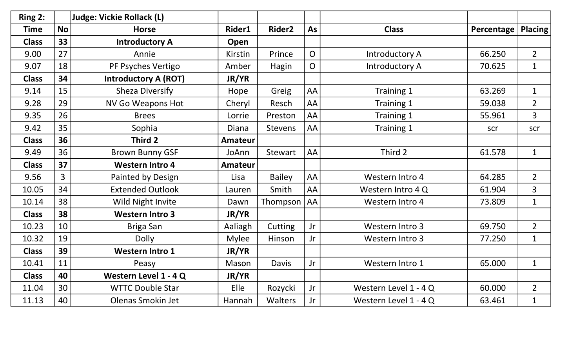| Ring 2:      |                | <b>Judge: Vickie Rollack (L)</b> |                |                    |                |                       |            |                |
|--------------|----------------|----------------------------------|----------------|--------------------|----------------|-----------------------|------------|----------------|
| <b>Time</b>  | <b>No</b>      | <b>Horse</b>                     | Rider1         | Rider <sub>2</sub> | As             | <b>Class</b>          | Percentage | <b>Placing</b> |
| <b>Class</b> | 33             | <b>Introductory A</b>            | Open           |                    |                |                       |            |                |
| 9.00         | 27             | Annie                            | Kirstin        | Prince             | $\overline{O}$ | Introductory A        | 66.250     | $\overline{2}$ |
| 9.07         | 18             | PF Psyches Vertigo               | Amber          | Hagin              | $\overline{O}$ | Introductory A        | 70.625     | $\mathbf{1}$   |
| <b>Class</b> | 34             | <b>Introductory A (ROT)</b>      | JR/YR          |                    |                |                       |            |                |
| 9.14         | 15             | <b>Sheza Diversify</b>           | Hope           | Greig              | AA             | Training 1            | 63.269     | $\mathbf{1}$   |
| 9.28         | 29             | <b>NV Go Weapons Hot</b>         | Cheryl         | Resch              | AA             | Training 1            | 59.038     | $\overline{2}$ |
| 9.35         | 26             | <b>Brees</b>                     | Lorrie         | Preston            | AA             | Training 1            | 55.961     | $\overline{3}$ |
| 9.42         | 35             | Sophia                           | <b>Diana</b>   | <b>Stevens</b>     | AA             | Training 1            | scr        | scr            |
| <b>Class</b> | 36             | Third 2                          | <b>Amateur</b> |                    |                |                       |            |                |
| 9.49         | 36             | <b>Brown Bunny GSF</b>           | JoAnn          | <b>Stewart</b>     | AA             | Third 2               | 61.578     | $\mathbf{1}$   |
| <b>Class</b> | 37             | <b>Western Intro 4</b>           | <b>Amateur</b> |                    |                |                       |            |                |
| 9.56         | $\overline{3}$ | Painted by Design                | Lisa           | <b>Bailey</b>      | AA             | Western Intro 4       | 64.285     | $\overline{2}$ |
| 10.05        | 34             | <b>Extended Outlook</b>          | Lauren         | Smith              | AA             | Western Intro 4 Q     | 61.904     | $\overline{3}$ |
| 10.14        | 38             | Wild Night Invite                | Dawn           | Thompson           | AA             | Western Intro 4       | 73.809     | $\mathbf{1}$   |
| <b>Class</b> | 38             | <b>Western Intro 3</b>           | JR/YR          |                    |                |                       |            |                |
| 10.23        | 10             | Briga San                        | Aaliagh        | Cutting            | <b>Jr</b>      | Western Intro 3       | 69.750     | $\overline{2}$ |
| 10.32        | 19             | <b>Dolly</b>                     | <b>Mylee</b>   | Hinson             | Jr             | Western Intro 3       | 77.250     | $\mathbf{1}$   |
| <b>Class</b> | 39             | <b>Western Intro 1</b>           | JR/YR          |                    |                |                       |            |                |
| 10.41        | 11             | Peasy                            | Mason          | <b>Davis</b>       | Jr             | Western Intro 1       | 65.000     | $\mathbf{1}$   |
| <b>Class</b> | 40             | Western Level 1 - 4 Q            | JR/YR          |                    |                |                       |            |                |
| 11.04        | 30             | <b>WTTC Double Star</b>          | Elle           | Rozycki            | Jr             | Western Level 1 - 4 Q | 60.000     | $\overline{2}$ |
| 11.13        | 40             | Olenas Smokin Jet                | Hannah         | Walters            | Jr             | Western Level 1 - 4 Q | 63.461     | $\mathbf{1}$   |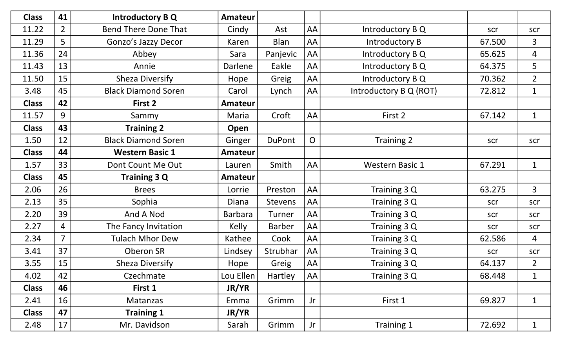| <b>Class</b> | 41             | <b>Introductory B Q</b>     | Amateur        |                |                |                        |        |                |
|--------------|----------------|-----------------------------|----------------|----------------|----------------|------------------------|--------|----------------|
| 11.22        | $\overline{2}$ | <b>Bend There Done That</b> | Cindy          | Ast            | AA             | Introductory B Q       | scr    | scr            |
| 11.29        | 5              | Gonzo's Jazzy Decor         | Karen          | <b>Blan</b>    | AA             | Introductory B         | 67.500 | $\overline{3}$ |
| 11.36        | 24             | Abbey                       | Sara           | Panjevic       | AA             | Introductory B Q       | 65.625 | $\overline{4}$ |
| 11.43        | 13             | Annie                       | Darlene        | Eakle          | AA             | Introductory B Q       | 64.375 | 5              |
| 11.50        | 15             | Sheza Diversify             | Hope           | Greig          | AA             | Introductory B Q       | 70.362 | $\overline{2}$ |
| 3.48         | 45             | <b>Black Diamond Soren</b>  | Carol          | Lynch          | AA             | Introductory B Q (ROT) | 72.812 | $\mathbf{1}$   |
| <b>Class</b> | 42             | First 2                     | <b>Amateur</b> |                |                |                        |        |                |
| 11.57        | 9              | Sammy                       | Maria          | Croft          | AA             | First 2                | 67.142 | $\mathbf{1}$   |
| <b>Class</b> | 43             | <b>Training 2</b>           | Open           |                |                |                        |        |                |
| 1.50         | 12             | <b>Black Diamond Soren</b>  | Ginger         | <b>DuPont</b>  | $\overline{O}$ | Training 2             | scr    | scr            |
| <b>Class</b> | 44             | <b>Western Basic 1</b>      | <b>Amateur</b> |                |                |                        |        |                |
| 1.57         | 33             | Dont Count Me Out           | Lauren         | Smith          | AA             | <b>Western Basic 1</b> | 67.291 | $\mathbf{1}$   |
| <b>Class</b> | 45             | <b>Training 3 Q</b>         | <b>Amateur</b> |                |                |                        |        |                |
| 2.06         | 26             | <b>Brees</b>                | Lorrie         | Preston        | AA             | Training 3 Q           | 63.275 | $\overline{3}$ |
|              |                |                             |                |                |                |                        |        |                |
| 2.13         | 35             | Sophia                      | <b>Diana</b>   | <b>Stevens</b> | AA             | Training 3 Q           | scr    | scr            |
| 2.20         | 39             | And A Nod                   | <b>Barbara</b> | Turner         | AA             | Training 3 Q           | scr    | scr            |
| 2.27         | $\overline{4}$ | The Fancy Invitation        | <b>Kelly</b>   | <b>Barber</b>  | AA             | Training 3 Q           | scr    | scr            |
| 2.34         | $\overline{7}$ | <b>Tulach Mhor Dew</b>      | Kathee         | Cook           | AA             | Training 3 Q           | 62.586 | $\overline{4}$ |
| 3.41         | 37             | Oberon SR                   | Lindsey        | Strubhar       | AA             | Training 3 Q           | scr    | scr            |
| 3.55         | 15             | Sheza Diversify             | Hope           | Greig          | AA             | Training 3 Q           | 64.137 | $\overline{2}$ |
| 4.02         | 42             | Czechmate                   | Lou Ellen      | Hartley        | AA             | Training 3 Q           | 68.448 | $\mathbf{1}$   |
| <b>Class</b> | 46             | First 1                     | <b>JR/YR</b>   |                |                |                        |        |                |
| 2.41         | 16             | Matanzas                    | Emma           | Grimm          | Jr             | First 1                | 69.827 | $\mathbf{1}$   |
| <b>Class</b> | 47             | <b>Training 1</b>           | JR/YR          |                |                |                        |        |                |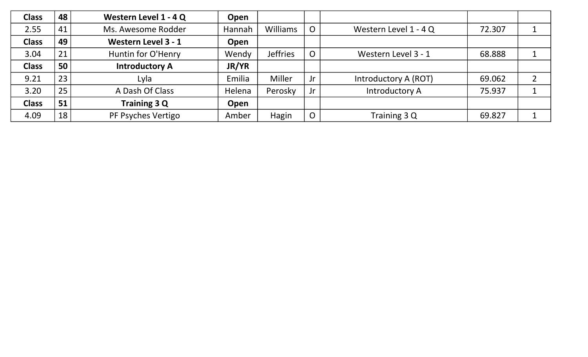| <b>Class</b> | 48 | Western Level 1 - 4 Q | Open   |                 |                |                       |        |   |
|--------------|----|-----------------------|--------|-----------------|----------------|-----------------------|--------|---|
| 2.55         | 41 | Ms. Awesome Rodder    | Hannah | <b>Williams</b> | O.             | Western Level 1 - 4 Q | 72.307 |   |
| <b>Class</b> | 49 | Western Level 3 - 1   | Open   |                 |                |                       |        |   |
| 3.04         | 21 | Huntin for O'Henry    | Wendy  | <b>Jeffries</b> |                | Western Level 3 - 1   | 68.888 |   |
| <b>Class</b> | 50 | <b>Introductory A</b> | JR/YR  |                 |                |                       |        |   |
| 9.21         | 23 | Lyla                  | Emilia | Miller          | Jr             | Introductory A (ROT)  | 69.062 | ┑ |
| 3.20         | 25 | A Dash Of Class       | Helena | Perosky         | Jr             | Introductory A        | 75.937 |   |
| <b>Class</b> | 51 | Training 3 Q          | Open   |                 |                |                       |        |   |
| 4.09         | 18 | PF Psyches Vertigo    | Amber  | Hagin           | $\overline{O}$ | Training 3 Q          | 69.827 |   |